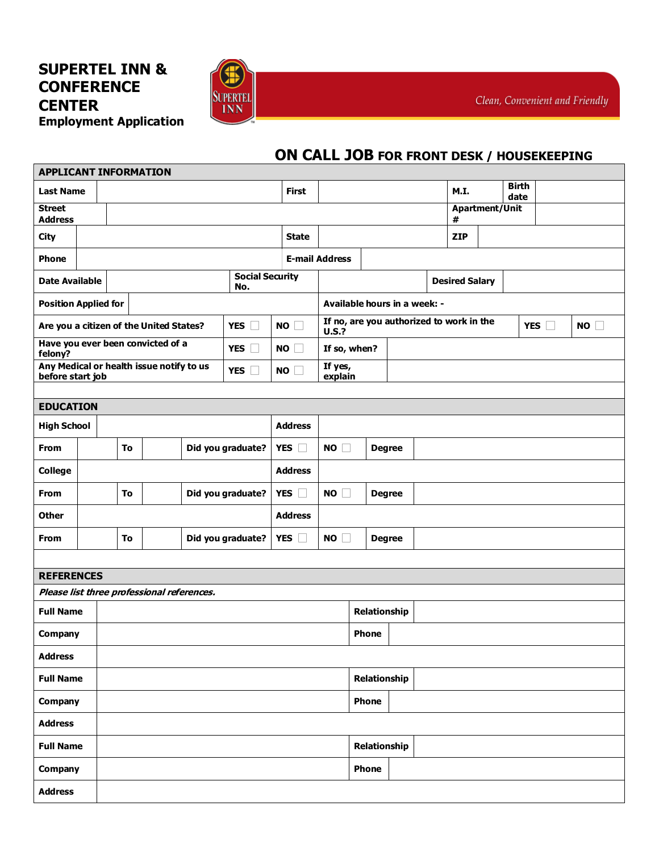## **SUPERTEL INN & CONFERENCE CENTER Employment Application**



## **ON CALL JOB FOR FRONT DESK / HOUSEKEEPING**

| <b>APPLICANT INFORMATION</b>                   |  |                                                          |  |                                                   |  |  |              |                                                          |                       |                              |                       |                       |            |      |  |  |                      |    |  |  |
|------------------------------------------------|--|----------------------------------------------------------|--|---------------------------------------------------|--|--|--------------|----------------------------------------------------------|-----------------------|------------------------------|-----------------------|-----------------------|------------|------|--|--|----------------------|----|--|--|
| <b>Last Name</b>                               |  |                                                          |  |                                                   |  |  |              |                                                          | <b>First</b>          |                              |                       |                       |            | M.I. |  |  | <b>Birth</b><br>date |    |  |  |
| <b>Street</b><br><b>Address</b>                |  |                                                          |  |                                                   |  |  |              |                                                          |                       | #                            | <b>Apartment/Unit</b> |                       |            |      |  |  |                      |    |  |  |
| <b>City</b>                                    |  |                                                          |  |                                                   |  |  | <b>State</b> |                                                          |                       |                              |                       |                       | <b>ZIP</b> |      |  |  |                      |    |  |  |
| <b>Phone</b>                                   |  |                                                          |  |                                                   |  |  |              |                                                          | <b>E-mail Address</b> |                              |                       |                       |            |      |  |  |                      |    |  |  |
| <b>Date Available</b>                          |  | <b>Social Security</b><br>No.                            |  |                                                   |  |  |              |                                                          |                       |                              |                       | <b>Desired Salary</b> |            |      |  |  |                      |    |  |  |
| <b>Position Applied for</b>                    |  |                                                          |  |                                                   |  |  |              |                                                          |                       | Available hours in a week: - |                       |                       |            |      |  |  |                      |    |  |  |
| Are you a citizen of the United States?<br>YES |  |                                                          |  |                                                   |  |  | NO           | If no, are you authorized to work in the<br><b>U.S.?</b> |                       |                              |                       |                       |            |      |  |  | YES                  | NO |  |  |
| felony?                                        |  |                                                          |  | Have you ever been convicted of a<br>YES <b>I</b> |  |  |              | NO                                                       | If so, when?          |                              |                       |                       |            |      |  |  |                      |    |  |  |
| before start job                               |  | Any Medical or health issue notify to us<br>YES <b>T</b> |  |                                                   |  |  |              | NO                                                       | If yes,<br>explain    |                              |                       |                       |            |      |  |  |                      |    |  |  |
|                                                |  |                                                          |  |                                                   |  |  |              |                                                          |                       |                              |                       |                       |            |      |  |  |                      |    |  |  |
| <b>EDUCATION</b>                               |  |                                                          |  |                                                   |  |  |              |                                                          |                       |                              |                       |                       |            |      |  |  |                      |    |  |  |
| <b>High School</b>                             |  |                                                          |  |                                                   |  |  |              | <b>Address</b>                                           |                       |                              |                       |                       |            |      |  |  |                      |    |  |  |
| <b>From</b>                                    |  | To<br>Did you graduate?                                  |  |                                                   |  |  |              | YES $\square$                                            | NO                    | <b>Degree</b>                |                       |                       |            |      |  |  |                      |    |  |  |
| <b>College</b>                                 |  |                                                          |  |                                                   |  |  |              | <b>Address</b>                                           |                       |                              |                       |                       |            |      |  |  |                      |    |  |  |
| <b>From</b>                                    |  | To<br>Did you graduate?                                  |  |                                                   |  |  |              | YES $\Box$                                               | NO                    |                              | <b>Degree</b>         |                       |            |      |  |  |                      |    |  |  |
| <b>Other</b>                                   |  |                                                          |  |                                                   |  |  |              | <b>Address</b>                                           |                       |                              |                       |                       |            |      |  |  |                      |    |  |  |
| From                                           |  | To<br>Did you graduate?                                  |  |                                                   |  |  |              | YES $\square$                                            | NO                    |                              | <b>Degree</b>         |                       |            |      |  |  |                      |    |  |  |
|                                                |  |                                                          |  |                                                   |  |  |              |                                                          |                       |                              |                       |                       |            |      |  |  |                      |    |  |  |
| <b>REFERENCES</b>                              |  |                                                          |  |                                                   |  |  |              |                                                          |                       |                              |                       |                       |            |      |  |  |                      |    |  |  |
| Please list three professional references.     |  |                                                          |  |                                                   |  |  |              |                                                          |                       |                              |                       |                       |            |      |  |  |                      |    |  |  |
| <b>Full Name</b>                               |  |                                                          |  |                                                   |  |  | Relationship |                                                          |                       |                              |                       |                       |            |      |  |  |                      |    |  |  |
| Company                                        |  |                                                          |  |                                                   |  |  | <b>Phone</b> |                                                          |                       |                              |                       |                       |            |      |  |  |                      |    |  |  |
| <b>Address</b>                                 |  |                                                          |  |                                                   |  |  |              |                                                          |                       |                              |                       |                       |            |      |  |  |                      |    |  |  |
| <b>Full Name</b>                               |  |                                                          |  |                                                   |  |  |              |                                                          | Relationship          |                              |                       |                       |            |      |  |  |                      |    |  |  |
| Company                                        |  |                                                          |  |                                                   |  |  |              |                                                          |                       | <b>Phone</b>                 |                       |                       |            |      |  |  |                      |    |  |  |
| <b>Address</b>                                 |  |                                                          |  |                                                   |  |  |              |                                                          |                       |                              |                       |                       |            |      |  |  |                      |    |  |  |
| <b>Full Name</b>                               |  |                                                          |  |                                                   |  |  |              |                                                          |                       | Relationship                 |                       |                       |            |      |  |  |                      |    |  |  |
| Company                                        |  |                                                          |  |                                                   |  |  |              |                                                          |                       | <b>Phone</b>                 |                       |                       |            |      |  |  |                      |    |  |  |
| <b>Address</b>                                 |  |                                                          |  |                                                   |  |  |              |                                                          |                       |                              |                       |                       |            |      |  |  |                      |    |  |  |